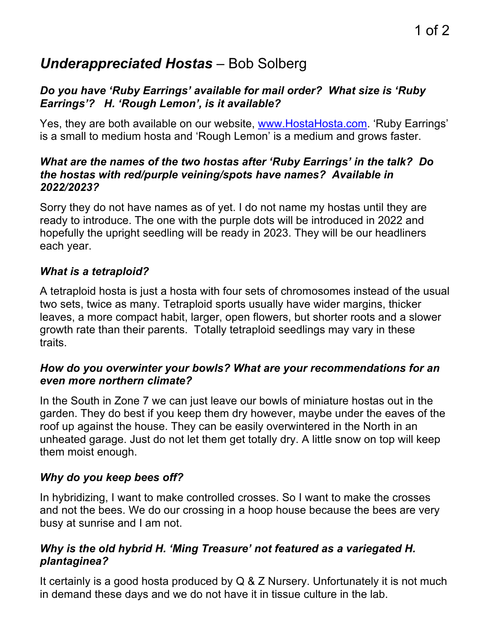# *Underappreciated Hostas* – Bob Solberg

## *Do you have 'Ruby Earrings' available for mail order? What size is 'Ruby Earrings'? H. 'Rough Lemon', is it available?*

Yes, they are both available on our website, www.HostaHosta.com. 'Ruby Earrings' is a small to medium hosta and 'Rough Lemon' is a medium and grows faster.

#### *What are the names of the two hostas after 'Ruby Earrings' in the talk? Do the hostas with red/purple veining/spots have names? Available in 2022/2023?*

Sorry they do not have names as of yet. I do not name my hostas until they are ready to introduce. The one with the purple dots will be introduced in 2022 and hopefully the upright seedling will be ready in 2023. They will be our headliners each year.

# *What is a tetraploid?*

A tetraploid hosta is just a hosta with four sets of chromosomes instead of the usual two sets, twice as many. Tetraploid sports usually have wider margins, thicker leaves, a more compact habit, larger, open flowers, but shorter roots and a slower growth rate than their parents. Totally tetraploid seedlings may vary in these traits.

#### *How do you overwinter your bowls? What are your recommendations for an even more northern climate?*

In the South in Zone 7 we can just leave our bowls of miniature hostas out in the garden. They do best if you keep them dry however, maybe under the eaves of the roof up against the house. They can be easily overwintered in the North in an unheated garage. Just do not let them get totally dry. A little snow on top will keep them moist enough.

# *Why do you keep bees off?*

In hybridizing, I want to make controlled crosses. So I want to make the crosses and not the bees. We do our crossing in a hoop house because the bees are very busy at sunrise and I am not.

# *Why is the old hybrid H. 'Ming Treasure' not featured as a variegated H. plantaginea?*

It certainly is a good hosta produced by Q & Z Nursery. Unfortunately it is not much in demand these days and we do not have it in tissue culture in the lab.